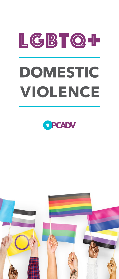# LGBTQ+ **DOMESTIC VIOLENCE**



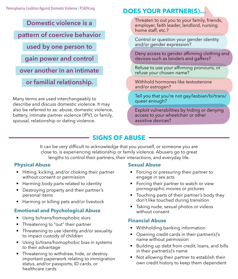**Domestic violence is a** 

### **pattern of coercive behavior**

**used by one person to** 

**gain power and control**

**over another in an intimate** 

**or familial relationship.**

Many terms are used interchangeably to describe and discuss domestic violence. It may also be referred to as: abuse, domestic violence, battery, intimate partner violence (IPV), or family, spousal, relationship or dating violence.

## **DOES YOUR PARTNER(S)…**

Threaten to out you to your family, friends, employer, faith leader, landlord, nursing home staff, etc.?

Control or question your gender identity and/or gender expression?

Deny access to gender affirming clothing and devices such as binders and gaffers?

Refuse to use your affirming pronouns, or refuse your chosen name?

Withhold hormones like testosterone and/or estrogen?

Tell you that you're not gay/lesbian/bi/trans/ queer enough?

Exploit vulnerabilities by hiding or denying access to your wheelchair or other assistive devices?

## **SIGNS OF ABUSE**

It can be very difficult to acknowledge that you yourself, or someone you are close to, is experiencing relationship or family violence. Abusers go to great lengths to control their partners, their interactions, and everyday life.

#### **Physical Abuse**

- Hitting, kicking, and/or choking their partner without consent or permission
- Harming body parts related to identity
- Destroying property and their partner's personal items
- Harming or killing pets and/or livestock

#### **Emotional and Psychological Abuse**

- Using bi/trans/homophobic slurs
- Threatening to "out" their partner
- Threatening to use identity and/or sexuality to impact custody of children
- Using bi/trans/homophobic bias in systems to their advantage
- Threatening to withdraw, hide, or destroy important paperwork relating to immigration status, and/or passports, ID cards, or healthcare cards

#### **Sexual Abuse**

- Forcing or pressuring their partner to engage in sex acts
- Forcing their partner to watch or view pornographic movies or pictures
- Touching parts of their partner's body they don't like touched during transition
- Taking nude, sexual photos or videos without consent

#### **Financial Abuse**

- Withholding banking information
- Opening credit cards in their partner(s)'s name without permission
- Building up debt from credit, loans, and bills in their partner(s)'s name
- Not allowing their partner to establish their own credit history to keep them dependent